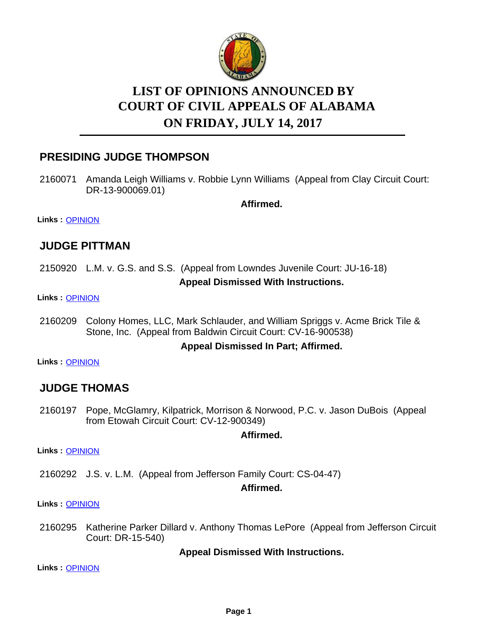

# **LIST OF OPINIONS ANNOUNCED BY ON FRIDAY, JULY 14, 2017 COURT OF CIVIL APPEALS OF ALABAMA**

# **PRESIDING JUDGE THOMPSON**

2160071 Amanda Leigh Williams v. Robbie Lynn Williams (Appeal from Clay Circuit Court: DR-13-900069.01)

**Affirmed.**

**Links :** [OPINION](https://acis.alabama.gov/displaydocs.cfm?no=813370&event=4YQ0KMZ1Y)

### **JUDGE PITTMAN**

2150920 L.M. v. G.S. and S.S. (Appeal from Lowndes Juvenile Court: JU-16-18) **Appeal Dismissed With Instructions.**

**Links :** [OPINION](https://acis.alabama.gov/displaydocs.cfm?no=813368&event=4YQ0KMYLG)

2160209 Colony Homes, LLC, Mark Schlauder, and William Spriggs v. Acme Brick Tile & Stone, Inc. (Appeal from Baldwin Circuit Court: CV-16-900538)

#### **Appeal Dismissed In Part; Affirmed.**

**Links :** [OPINION](https://acis.alabama.gov/displaydocs.cfm?no=813373&event=4YQ0KMZKK)

### **JUDGE THOMAS**

2160197 Pope, McGlamry, Kilpatrick, Morrison & Norwood, P.C. v. Jason DuBois (Appeal from Etowah Circuit Court: CV-12-900349)

#### **Affirmed.**

**Links :** [OPINION](https://acis.alabama.gov/displaydocs.cfm?no=813372&event=4YQ0KMZE2)

2160292 J.S. v. L.M. (Appeal from Jefferson Family Court: CS-04-47)

**Affirmed.**

**Links :** [OPINION](https://acis.alabama.gov/displaydocs.cfm?no=813374&event=4YQ0KMZQ6)

2160295 Katherine Parker Dillard v. Anthony Thomas LePore (Appeal from Jefferson Circuit Court: DR-15-540)

#### **Appeal Dismissed With Instructions.**

**Links :** [OPINION](https://acis.alabama.gov/displaydocs.cfm?no=813375&event=4YQ0KMZW9)